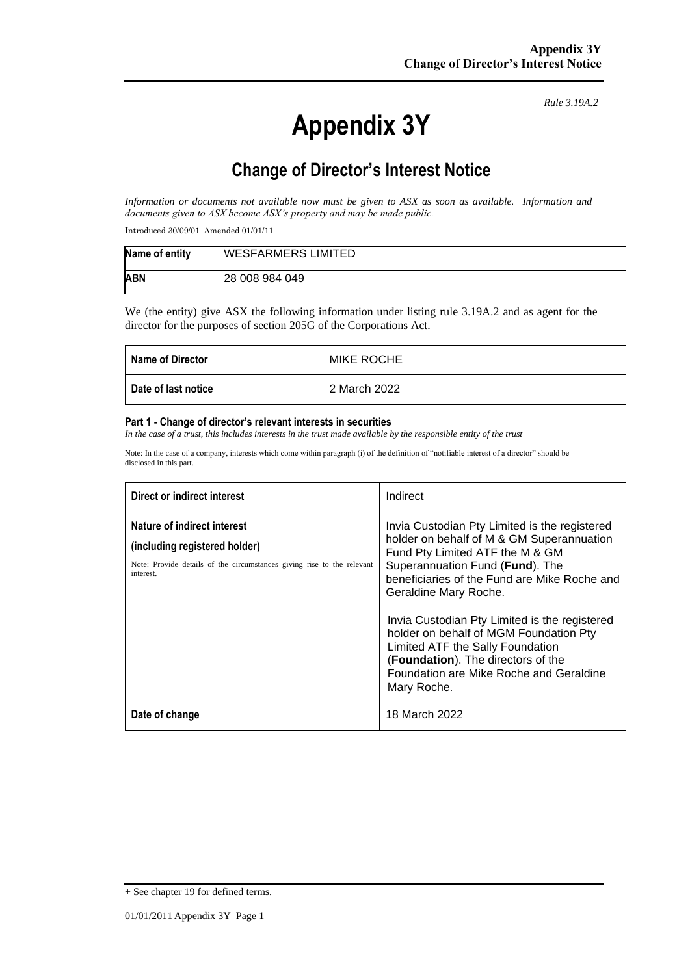# **Appendix 3Y**

*Rule 3.19A.2*

# **Change of Director's Interest Notice**

*Information or documents not available now must be given to ASX as soon as available. Information and documents given to ASX become ASX's property and may be made public.*

Introduced 30/09/01 Amended 01/01/11

| Name of entity | WESFARMERS LIMITED |
|----------------|--------------------|
| <b>ABN</b>     | 28 008 984 049     |

We (the entity) give ASX the following information under listing rule 3.19A.2 and as agent for the director for the purposes of section 205G of the Corporations Act.

| <b>Name of Director</b> | <b>MIKE ROCHE</b> |
|-------------------------|-------------------|
| Date of last notice     | 2 March 2022      |

#### **Part 1 - Change of director's relevant interests in securities**

*In the case of a trust, this includes interests in the trust made available by the responsible entity of the trust*

Note: In the case of a company, interests which come within paragraph (i) of the definition of "notifiable interest of a director" should be disclosed in this part.

| Direct or indirect interest                                                                                                                         | Indirect                                                                                                                                                                                                                                  |  |
|-----------------------------------------------------------------------------------------------------------------------------------------------------|-------------------------------------------------------------------------------------------------------------------------------------------------------------------------------------------------------------------------------------------|--|
| Nature of indirect interest<br>(including registered holder)<br>Note: Provide details of the circumstances giving rise to the relevant<br>interest. | Invia Custodian Pty Limited is the registered<br>holder on behalf of M & GM Superannuation<br>Fund Pty Limited ATF the M & GM<br>Superannuation Fund (Fund). The<br>beneficiaries of the Fund are Mike Roche and<br>Geraldine Mary Roche. |  |
|                                                                                                                                                     | Invia Custodian Pty Limited is the registered<br>holder on behalf of MGM Foundation Pty<br>Limited ATF the Sally Foundation<br>(Foundation). The directors of the<br>Foundation are Mike Roche and Geraldine<br>Mary Roche.               |  |
| Date of change                                                                                                                                      | 18 March 2022                                                                                                                                                                                                                             |  |

<sup>+</sup> See chapter 19 for defined terms.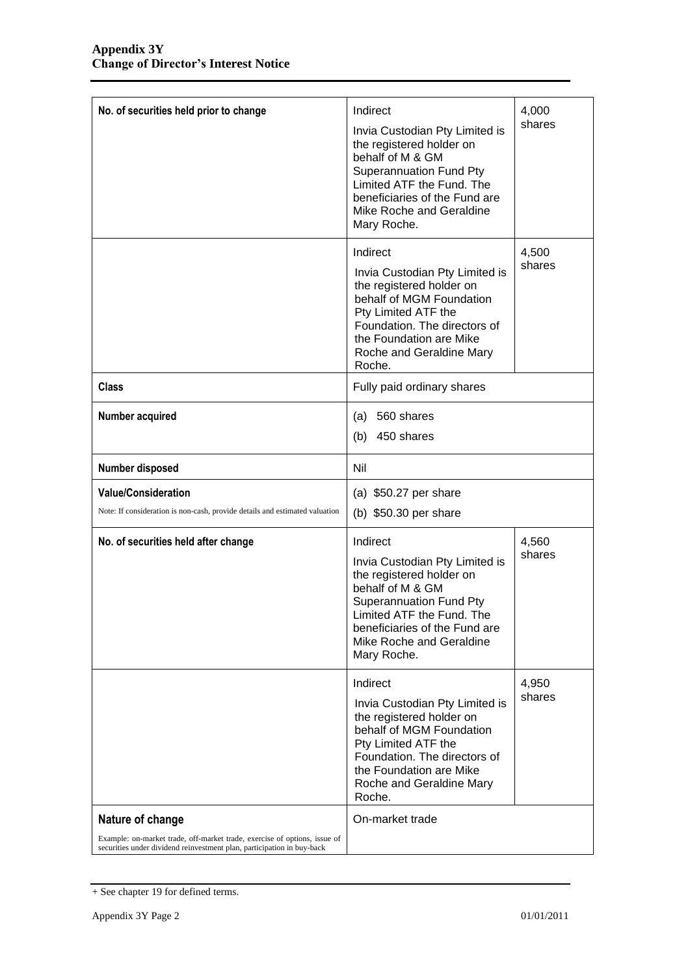| No. of securities held prior to change                                                                                                              | Indirect                                                                                                                                                                                                                              | 4,000           |
|-----------------------------------------------------------------------------------------------------------------------------------------------------|---------------------------------------------------------------------------------------------------------------------------------------------------------------------------------------------------------------------------------------|-----------------|
|                                                                                                                                                     | Invia Custodian Pty Limited is<br>the registered holder on<br>behalf of M & GM<br><b>Superannuation Fund Pty</b><br>Limited ATF the Fund. The<br>beneficiaries of the Fund are<br>Mike Roche and Geraldine<br>Mary Roche.             | shares          |
|                                                                                                                                                     | Indirect<br>Invia Custodian Pty Limited is<br>the registered holder on<br>behalf of MGM Foundation<br>Pty Limited ATF the<br>Foundation. The directors of<br>the Foundation are Mike<br>Roche and Geraldine Mary<br>Roche.            | 4,500<br>shares |
| <b>Class</b>                                                                                                                                        | Fully paid ordinary shares                                                                                                                                                                                                            |                 |
| Number acquired                                                                                                                                     | 560 shares<br>(a)<br>450 shares<br>(b)                                                                                                                                                                                                |                 |
| Number disposed                                                                                                                                     | Nil                                                                                                                                                                                                                                   |                 |
| <b>Value/Consideration</b>                                                                                                                          | (a) $$50.27$ per share                                                                                                                                                                                                                |                 |
| Note: If consideration is non-cash, provide details and estimated valuation                                                                         | (b) \$50.30 per share                                                                                                                                                                                                                 |                 |
| No. of securities held after change                                                                                                                 | Indirect<br>Invia Custodian Pty Limited is<br>the registered holder on<br>behalf of M & GM<br><b>Superannuation Fund Pty</b><br>Limited ATF the Fund. The<br>beneficiaries of the Fund are<br>Mike Roche and Geraldine<br>Mary Roche. | 4,560<br>shares |
|                                                                                                                                                     | Indirect<br>Invia Custodian Pty Limited is<br>the registered holder on<br>behalf of MGM Foundation<br>Pty Limited ATF the<br>Foundation. The directors of<br>the Foundation are Mike<br>Roche and Geraldine Mary<br>Roche.            | 4,950<br>shares |
| Nature of change                                                                                                                                    | On-market trade                                                                                                                                                                                                                       |                 |
| Example: on-market trade, off-market trade, exercise of options, issue of<br>securities under dividend reinvestment plan, participation in buy-back |                                                                                                                                                                                                                                       |                 |

<sup>+</sup> See chapter 19 for defined terms.